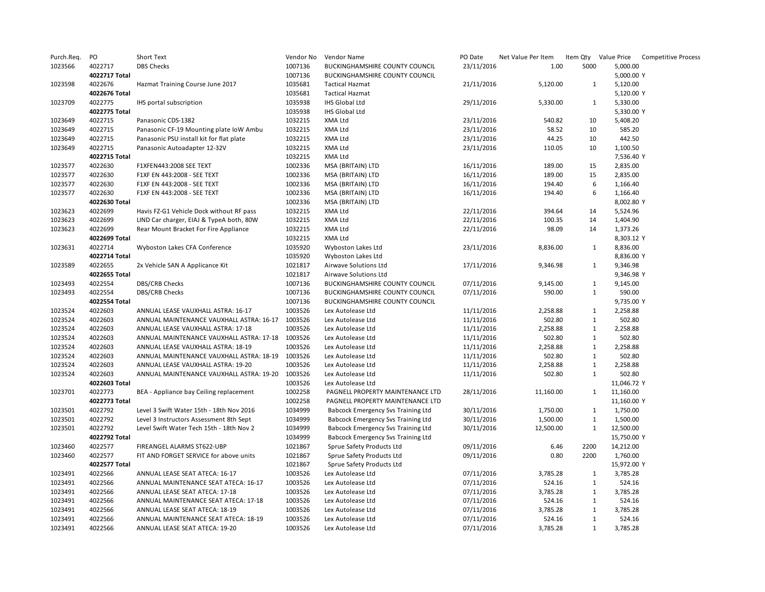| Purch.Req. | PO            | Short Text                                       | Vendor No | Vendor Name                        | PO Date    | Net Value Per Item | Item Qty     | Value Price | <b>Competitive Process</b> |
|------------|---------------|--------------------------------------------------|-----------|------------------------------------|------------|--------------------|--------------|-------------|----------------------------|
| 1023566    | 4022717       | <b>DBS Checks</b>                                | 1007136   | BUCKINGHAMSHIRE COUNTY COUNCIL     | 23/11/2016 | 1.00               | 5000         | 5,000.00    |                            |
|            | 4022717 Total |                                                  | 1007136   | BUCKINGHAMSHIRE COUNTY COUNCIL     |            |                    |              | 5,000.00 Y  |                            |
| 1023598    | 4022676       | Hazmat Training Course June 2017                 | 1035681   | <b>Tactical Hazmat</b>             | 21/11/2016 | 5,120.00           | $\mathbf{1}$ | 5,120.00    |                            |
|            | 4022676 Total |                                                  | 1035681   | <b>Tactical Hazmat</b>             |            |                    |              | 5,120.00 Y  |                            |
| 1023709    | 4022775       | IHS portal subscription                          | 1035938   | IHS Global Ltd                     | 29/11/2016 | 5,330.00           | 1            | 5,330.00    |                            |
|            | 4022775 Total |                                                  | 1035938   | IHS Global Ltd                     |            |                    |              | 5,330.00 Y  |                            |
| 1023649    | 4022715       | Panasonic CDS-1382                               | 1032215   | XMA Ltd                            | 23/11/2016 | 540.82             | 10           | 5,408.20    |                            |
| 1023649    | 4022715       | Panasonic CF-19 Mounting plate IoW Ambu          | 1032215   | XMA Ltd                            | 23/11/2016 | 58.52              | 10           | 585.20      |                            |
| 1023649    | 4022715       | Panasonic PSU install kit for flat plate         | 1032215   | XMA Ltd                            | 23/11/2016 | 44.25              | 10           | 442.50      |                            |
| 1023649    | 4022715       | Panasonic Autoadapter 12-32V                     | 1032215   | XMA Ltd                            | 23/11/2016 | 110.05             | 10           | 1,100.50    |                            |
|            | 4022715 Total |                                                  | 1032215   | XMA Ltd                            |            |                    |              | 7,536.40 Y  |                            |
|            |               |                                                  |           |                                    |            |                    |              |             |                            |
| 1023577    | 4022630       | F1XFEN443:2008 SEE TEXT                          | 1002336   | MSA (BRITAIN) LTD                  | 16/11/2016 | 189.00             | 15           | 2,835.00    |                            |
| 1023577    | 4022630       | F1XF EN 443:2008 - SEE TEXT                      | 1002336   | MSA (BRITAIN) LTD                  | 16/11/2016 | 189.00             | 15           | 2,835.00    |                            |
| 1023577    | 4022630       | F1XF EN 443:2008 - SEE TEXT                      | 1002336   | MSA (BRITAIN) LTD                  | 16/11/2016 | 194.40             | 6            | 1,166.40    |                            |
| 1023577    | 4022630       | F1XF EN 443:2008 - SEE TEXT                      | 1002336   | MSA (BRITAIN) LTD                  | 16/11/2016 | 194.40             | 6            | 1,166.40    |                            |
|            | 4022630 Total |                                                  | 1002336   | MSA (BRITAIN) LTD                  |            |                    |              | 8,002.80 Y  |                            |
| 1023623    | 4022699       | Havis FZ-G1 Vehicle Dock without RF pass         | 1032215   | XMA Ltd                            | 22/11/2016 | 394.64             | 14           | 5,524.96    |                            |
| 1023623    | 4022699       | LIND Car charger, EIAJ & TypeA both, 80W         | 1032215   | XMA Ltd                            | 22/11/2016 | 100.35             | 14           | 1,404.90    |                            |
| 1023623    | 4022699       | Rear Mount Bracket For Fire Appliance            | 1032215   | XMA Ltd                            | 22/11/2016 | 98.09              | 14           | 1,373.26    |                            |
|            | 4022699 Total |                                                  | 1032215   | XMA Ltd                            |            |                    |              | 8,303.12 Y  |                            |
| 1023631    | 4022714       | Wyboston Lakes CFA Conference                    | 1035920   | Wyboston Lakes Ltd                 | 23/11/2016 | 8,836.00           | 1            | 8,836.00    |                            |
|            | 4022714 Total |                                                  | 1035920   | Wyboston Lakes Ltd                 |            |                    |              | 8,836.00 Y  |                            |
| 1023589    | 4022655       | 2x Vehicle SAN A Applicance Kit                  | 1021817   | Airwave Solutions Ltd              | 17/11/2016 | 9,346.98           | 1            | 9,346.98    |                            |
|            | 4022655 Total |                                                  | 1021817   | Airwave Solutions Ltd              |            |                    |              | 9,346.98 Y  |                            |
| 1023493    | 4022554       | <b>DBS/CRB Checks</b>                            | 1007136   | BUCKINGHAMSHIRE COUNTY COUNCIL     | 07/11/2016 | 9,145.00           | $\mathbf{1}$ | 9,145.00    |                            |
| 1023493    | 4022554       | DBS/CRB Checks                                   | 1007136   | BUCKINGHAMSHIRE COUNTY COUNCIL     | 07/11/2016 | 590.00             | $\mathbf{1}$ | 590.00      |                            |
|            | 4022554 Total |                                                  | 1007136   | BUCKINGHAMSHIRE COUNTY COUNCIL     |            |                    |              | 9,735.00 Y  |                            |
| 1023524    | 4022603       | ANNUAL LEASE VAUXHALL ASTRA: 16-17               | 1003526   | Lex Autolease Ltd                  | 11/11/2016 | 2,258.88           | $\mathbf{1}$ | 2,258.88    |                            |
| 1023524    | 4022603       | ANNUAL MAINTENANCE VAUXHALL ASTRA: 16-17         | 1003526   | Lex Autolease Ltd                  | 11/11/2016 | 502.80             | $\mathbf{1}$ | 502.80      |                            |
| 1023524    | 4022603       | ANNUAL LEASE VAUXHALL ASTRA: 17-18               | 1003526   | Lex Autolease Ltd                  | 11/11/2016 | 2,258.88           | $\mathbf 1$  | 2,258.88    |                            |
| 1023524    | 4022603       | ANNUAL MAINTENANCE VAUXHALL ASTRA: 17-18 1003526 |           | Lex Autolease Ltd                  | 11/11/2016 | 502.80             | $\mathbf{1}$ | 502.80      |                            |
| 1023524    | 4022603       | ANNUAL LEASE VAUXHALL ASTRA: 18-19               | 1003526   | Lex Autolease Ltd                  | 11/11/2016 | 2,258.88           | $\mathbf{1}$ | 2,258.88    |                            |
| 1023524    | 4022603       |                                                  | 1003526   |                                    |            | 502.80             | $\mathbf{1}$ | 502.80      |                            |
|            |               | ANNUAL MAINTENANCE VAUXHALL ASTRA: 18-19         |           | Lex Autolease Ltd                  | 11/11/2016 |                    |              |             |                            |
| 1023524    | 4022603       | ANNUAL LEASE VAUXHALL ASTRA: 19-20               | 1003526   | Lex Autolease Ltd                  | 11/11/2016 | 2,258.88           | $\mathbf{1}$ | 2,258.88    |                            |
| 1023524    | 4022603       | ANNUAL MAINTENANCE VAUXHALL ASTRA: 19-20         | 1003526   | Lex Autolease Ltd                  | 11/11/2016 | 502.80             | $\mathbf{1}$ | 502.80      |                            |
|            | 4022603 Total |                                                  | 1003526   | Lex Autolease Ltd                  |            |                    |              | 11,046.72 Y |                            |
| 1023701    | 4022773       | BEA - Appliance bay Ceiling replacement          | 1002258   | PAGNELL PROPERTY MAINTENANCE LTD   | 28/11/2016 | 11,160.00          | 1            | 11,160.00   |                            |
|            | 4022773 Total |                                                  | 1002258   | PAGNELL PROPERTY MAINTENANCE LTD   |            |                    |              | 11,160.00 Y |                            |
| 1023501    | 4022792       | Level 3 Swift Water 15th - 18th Nov 2016         | 1034999   | Babcock Emergency Svs Training Ltd | 30/11/2016 | 1,750.00           | $\mathbf{1}$ | 1,750.00    |                            |
| 1023501    | 4022792       | Level 3 Instructors Assessment 8th Sept          | 1034999   | Babcock Emergency Svs Training Ltd | 30/11/2016 | 1,500.00           | $\mathbf 1$  | 1,500.00    |                            |
| 1023501    | 4022792       | Level Swift Water Tech 15th - 18th Nov 2         | 1034999   | Babcock Emergency Svs Training Ltd | 30/11/2016 | 12,500.00          | $\mathbf{1}$ | 12,500.00   |                            |
|            | 4022792 Total |                                                  | 1034999   | Babcock Emergency Svs Training Ltd |            |                    |              | 15,750.00 Y |                            |
| 1023460    | 4022577       | FIREANGEL ALARMS ST622-UBP                       | 1021867   | Sprue Safety Products Ltd          | 09/11/2016 | 6.46               | 2200         | 14,212.00   |                            |
| 1023460    | 4022577       | FIT AND FORGET SERVICE for above units           | 1021867   | Sprue Safety Products Ltd          | 09/11/2016 | 0.80               | 2200         | 1,760.00    |                            |
|            | 4022577 Total |                                                  | 1021867   | Sprue Safety Products Ltd          |            |                    |              | 15,972.00 Y |                            |
| 1023491    | 4022566       | ANNUAL LEASE SEAT ATECA: 16-17                   | 1003526   | Lex Autolease Ltd                  | 07/11/2016 | 3,785.28           | $\mathbf{1}$ | 3,785.28    |                            |
| 1023491    | 4022566       | ANNUAL MAINTENANCE SEAT ATECA: 16-17             | 1003526   | Lex Autolease Ltd                  | 07/11/2016 | 524.16             | $\mathbf{1}$ | 524.16      |                            |
| 1023491    | 4022566       | ANNUAL LEASE SEAT ATECA: 17-18                   | 1003526   | Lex Autolease Ltd                  | 07/11/2016 | 3,785.28           | $\mathbf{1}$ | 3,785.28    |                            |
| 1023491    | 4022566       | ANNUAL MAINTENANCE SEAT ATECA: 17-18             | 1003526   | Lex Autolease Ltd                  | 07/11/2016 | 524.16             | $\mathbf{1}$ | 524.16      |                            |
| 1023491    | 4022566       | ANNUAL LEASE SEAT ATECA: 18-19                   | 1003526   | Lex Autolease Ltd                  | 07/11/2016 | 3,785.28           | $\mathbf{1}$ | 3,785.28    |                            |
| 1023491    | 4022566       | ANNUAL MAINTENANCE SEAT ATECA: 18-19             | 1003526   | Lex Autolease Ltd                  | 07/11/2016 | 524.16             | $\mathbf{1}$ | 524.16      |                            |
| 1023491    | 4022566       | ANNUAL LEASE SEAT ATECA: 19-20                   | 1003526   | Lex Autolease Ltd                  | 07/11/2016 | 3,785.28           | $\mathbf{1}$ | 3,785.28    |                            |
|            |               |                                                  |           |                                    |            |                    |              |             |                            |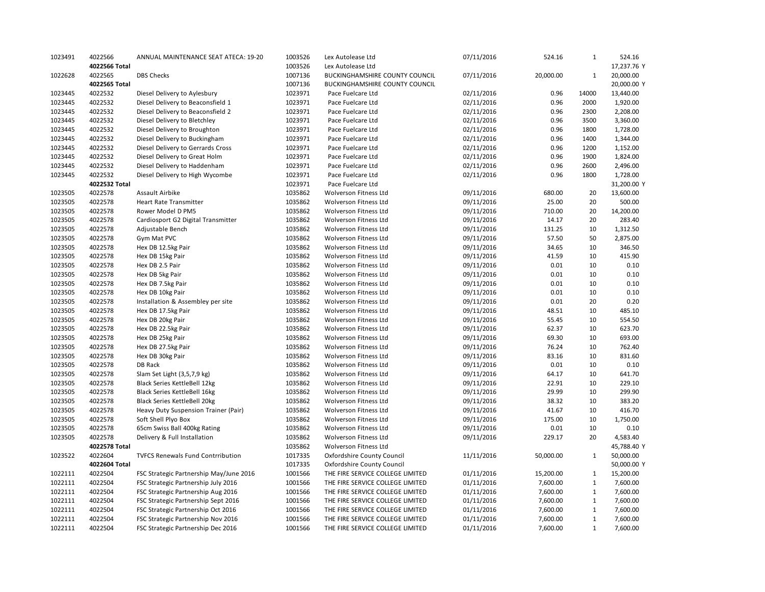| 1023491            | 4022566       | ANNUAL MAINTENANCE SEAT ATECA: 19-20     | 1003526            | Lex Autolease Ltd                     | 07/11/2016               | 524.16    | $\mathbf{1}$ | 524.16           |
|--------------------|---------------|------------------------------------------|--------------------|---------------------------------------|--------------------------|-----------|--------------|------------------|
|                    | 4022566 Total |                                          | 1003526            | Lex Autolease Ltd                     |                          |           |              | 17,237.76 Y      |
| 1022628            | 4022565       | <b>DBS Checks</b>                        | 1007136            | BUCKINGHAMSHIRE COUNTY COUNCIL        | 07/11/2016               | 20,000.00 | $\mathbf{1}$ | 20,000.00        |
|                    | 4022565 Total |                                          | 1007136            | <b>BUCKINGHAMSHIRE COUNTY COUNCIL</b> |                          |           |              | 20,000.00 Y      |
| 1023445            | 4022532       | Diesel Delivery to Aylesbury             | 1023971            | Pace Fuelcare Ltd                     | 02/11/2016               | 0.96      | 14000        | 13,440.00        |
| 1023445            | 4022532       | Diesel Delivery to Beaconsfield 1        | 1023971            | Pace Fuelcare Ltd                     | 02/11/2016               | 0.96      | 2000         | 1,920.00         |
| 1023445            | 4022532       | Diesel Delivery to Beaconsfield 2        | 1023971            | Pace Fuelcare Ltd                     | 02/11/2016               | 0.96      | 2300         | 2,208.00         |
| 1023445            | 4022532       | Diesel Delivery to Bletchley             | 1023971            | Pace Fuelcare Ltd                     | 02/11/2016               | 0.96      | 3500         | 3,360.00         |
| 1023445            | 4022532       | Diesel Delivery to Broughton             | 1023971            | Pace Fuelcare Ltd                     | 02/11/2016               | 0.96      | 1800         | 1,728.00         |
| 1023445            | 4022532       | Diesel Delivery to Buckingham            | 1023971            | Pace Fuelcare Ltd                     | 02/11/2016               | 0.96      | 1400         | 1,344.00         |
| 1023445            | 4022532       | Diesel Delivery to Gerrards Cross        | 1023971            | Pace Fuelcare Ltd                     | 02/11/2016               | 0.96      | 1200         | 1,152.00         |
| 1023445            | 4022532       | Diesel Delivery to Great Holm            | 1023971            | Pace Fuelcare Ltd                     | 02/11/2016               | 0.96      | 1900         | 1,824.00         |
| 1023445            | 4022532       | Diesel Delivery to Haddenham             | 1023971            | Pace Fuelcare Ltd                     | 02/11/2016               | 0.96      | 2600         | 2,496.00         |
| 1023445            | 4022532       | Diesel Delivery to High Wycombe          | 1023971            | Pace Fuelcare Ltd                     | 02/11/2016               | 0.96      | 1800         | 1,728.00         |
|                    | 4022532 Total |                                          | 1023971            | Pace Fuelcare Ltd                     |                          |           |              | 31,200.00 Y      |
| 1023505            | 4022578       | Assault Airbike                          | 1035862            | Wolverson Fitness Ltd                 | 09/11/2016               | 680.00    | 20           | 13,600.00        |
| 1023505            | 4022578       | <b>Heart Rate Transmitter</b>            | 1035862            | Wolverson Fitness Ltd                 | 09/11/2016               | 25.00     | 20           | 500.00           |
| 1023505            | 4022578       | Rower Model D PM5                        | 1035862            | Wolverson Fitness Ltd                 | 09/11/2016               | 710.00    | 20           | 14,200.00        |
| 1023505            | 4022578       | Cardiosport G2 Digital Transmitter       | 1035862            | Wolverson Fitness Ltd                 | 09/11/2016               | 14.17     | 20           | 283.40           |
| 1023505            | 4022578       | Adjustable Bench                         | 1035862            | Wolverson Fitness Ltd                 | 09/11/2016               | 131.25    | 10           | 1,312.50         |
| 1023505            | 4022578       | Gym Mat PVC                              | 1035862            | Wolverson Fitness Ltd                 | 09/11/2016               | 57.50     | 50           | 2,875.00         |
| 1023505            | 4022578       | Hex DB 12.5kg Pair                       | 1035862            | Wolverson Fitness Ltd                 | 09/11/2016               | 34.65     | 10           | 346.50           |
| 1023505            | 4022578       | Hex DB 15kg Pair                         | 1035862            | Wolverson Fitness Ltd                 | 09/11/2016               | 41.59     | 10           | 415.90           |
| 1023505            | 4022578       | Hex DB 2.5 Pair                          | 1035862            | Wolverson Fitness Ltd                 | 09/11/2016               | 0.01      | 10           | 0.10             |
| 1023505            | 4022578       | Hex DB 5kg Pair                          | 1035862            | Wolverson Fitness Ltd                 | 09/11/2016               | 0.01      | 10           | 0.10             |
|                    | 4022578       |                                          | 1035862            | Wolverson Fitness Ltd                 |                          | 0.01      | 10           | 0.10             |
| 1023505<br>1023505 | 4022578       | Hex DB 7.5kg Pair<br>Hex DB 10kg Pair    | 1035862            | Wolverson Fitness Ltd                 | 09/11/2016<br>09/11/2016 | 0.01      | 10           | 0.10             |
| 1023505            | 4022578       |                                          | 1035862            | Wolverson Fitness Ltd                 | 09/11/2016               | 0.01      | 20           | 0.20             |
|                    |               | Installation & Assembley per site        |                    |                                       |                          |           |              |                  |
| 1023505<br>1023505 | 4022578       | Hex DB 17.5kg Pair                       | 1035862<br>1035862 | Wolverson Fitness Ltd                 | 09/11/2016               | 48.51     | 10<br>10     | 485.10<br>554.50 |
|                    | 4022578       | Hex DB 20kg Pair                         |                    | Wolverson Fitness Ltd                 | 09/11/2016               | 55.45     |              |                  |
| 1023505            | 4022578       | Hex DB 22.5kg Pair                       | 1035862            | Wolverson Fitness Ltd                 | 09/11/2016               | 62.37     | 10           | 623.70           |
| 1023505            | 4022578       | Hex DB 25kg Pair                         | 1035862            | Wolverson Fitness Ltd                 | 09/11/2016               | 69.30     | 10           | 693.00           |
| 1023505            | 4022578       | Hex DB 27.5kg Pair                       | 1035862            | Wolverson Fitness Ltd                 | 09/11/2016               | 76.24     | 10           | 762.40           |
| 1023505            | 4022578       | Hex DB 30kg Pair                         | 1035862            | Wolverson Fitness Ltd                 | 09/11/2016               | 83.16     | 10           | 831.60           |
| 1023505            | 4022578       | <b>DB Rack</b>                           | 1035862            | Wolverson Fitness Ltd                 | 09/11/2016               | 0.01      | 10           | 0.10             |
| 1023505            | 4022578       | Slam Set Light (3,5,7,9 kg)              | 1035862            | Wolverson Fitness Ltd                 | 09/11/2016               | 64.17     | 10           | 641.70           |
| 1023505            | 4022578       | Black Series KettleBell 12kg             | 1035862            | Wolverson Fitness Ltd                 | 09/11/2016               | 22.91     | 10           | 229.10           |
| 1023505            | 4022578       | Black Series KettleBell 16kg             | 1035862            | Wolverson Fitness Ltd                 | 09/11/2016               | 29.99     | 10           | 299.90           |
| 1023505            | 4022578       | <b>Black Series KettleBell 20kg</b>      | 1035862            | Wolverson Fitness Ltd                 | 09/11/2016               | 38.32     | 10           | 383.20           |
| 1023505            | 4022578       | Heavy Duty Suspension Trainer (Pair)     | 1035862            | Wolverson Fitness Ltd                 | 09/11/2016               | 41.67     | 10           | 416.70           |
| 1023505            | 4022578       | Soft Shell Plyo Box                      | 1035862            | Wolverson Fitness Ltd                 | 09/11/2016               | 175.00    | 10           | 1,750.00         |
| 1023505            | 4022578       | 65cm Swiss Ball 400kg Rating             | 1035862            | Wolverson Fitness Ltd                 | 09/11/2016               | 0.01      | 10           | 0.10             |
| 1023505            | 4022578       | Delivery & Full Installation             | 1035862            | Wolverson Fitness Ltd                 | 09/11/2016               | 229.17    | 20           | 4,583.40         |
|                    | 4022578 Total |                                          | 1035862            | Wolverson Fitness Ltd                 |                          |           |              | 45,788.40 Y      |
| 1023522            | 4022604       | <b>TVFCS Renewals Fund Contrribution</b> | 1017335            | Oxfordshire County Council            | 11/11/2016               | 50,000.00 | $\mathbf{1}$ | 50,000.00        |
|                    | 4022604 Total |                                          | 1017335            | Oxfordshire County Council            |                          |           |              | 50,000.00 Y      |
| 1022111            | 4022504       | FSC Strategic Partnership May/June 2016  | 1001566            | THE FIRE SERVICE COLLEGE LIMITED      | 01/11/2016               | 15,200.00 | $\mathbf{1}$ | 15,200.00        |
| 1022111            | 4022504       | FSC Strategic Partnership July 2016      | 1001566            | THE FIRE SERVICE COLLEGE LIMITED      | 01/11/2016               | 7,600.00  | $\mathbf{1}$ | 7,600.00         |
| 1022111            | 4022504       | FSC Strategic Partnership Aug 2016       | 1001566            | THE FIRE SERVICE COLLEGE LIMITED      | 01/11/2016               | 7,600.00  | $\mathbf{1}$ | 7,600.00         |
| 1022111            | 4022504       | FSC Strategic Partnership Sept 2016      | 1001566            | THE FIRE SERVICE COLLEGE LIMITED      | 01/11/2016               | 7,600.00  | $\mathbf{1}$ | 7,600.00         |
| 1022111            | 4022504       | FSC Strategic Partnership Oct 2016       | 1001566            | THE FIRE SERVICE COLLEGE LIMITED      | 01/11/2016               | 7,600.00  | $\mathbf{1}$ | 7,600.00         |
| 1022111            | 4022504       | FSC Strategic Partnership Nov 2016       | 1001566            | THE FIRE SERVICE COLLEGE LIMITED      | 01/11/2016               | 7,600.00  | $\mathbf{1}$ | 7,600.00         |
| 1022111            | 4022504       | FSC Strategic Partnership Dec 2016       | 1001566            | THE FIRE SERVICE COLLEGE LIMITED      | 01/11/2016               | 7,600.00  | $\mathbf{1}$ | 7,600.00         |